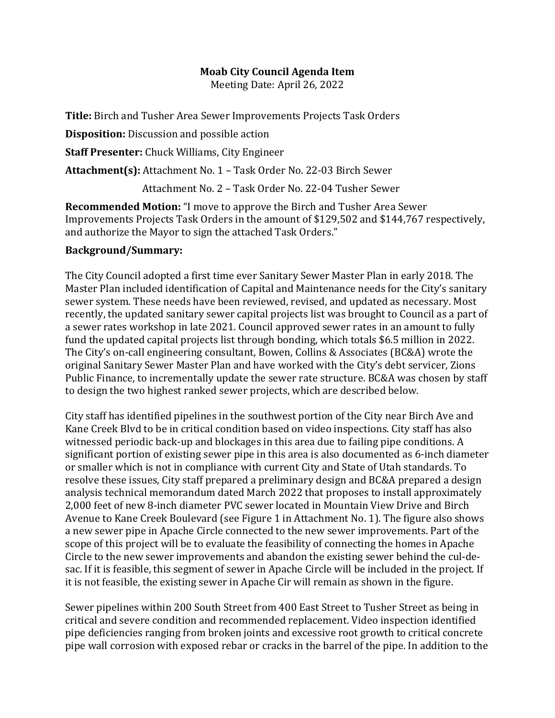## **Moab City Council Agenda Item**

Meeting Date: April 26, 2022

**Title:** Birch and Tusher Area Sewer Improvements Projects Task Orders

**Disposition:** Discussion and possible action

**Staff Presenter:** Chuck Williams, City Engineer

**Attachment(s):** Attachment No. 1 – Task Order No. 22-03 Birch Sewer

Attachment No. 2 – Task Order No. 22-04 Tusher Sewer

**Recommended Motion:** "I move to approve the Birch and Tusher Area Sewer Improvements Projects Task Orders in the amount of \$129,502 and \$144,767 respectively, and authorize the Mayor to sign the attached Task Orders."

## **Background/Summary:**

The City Council adopted a first time ever Sanitary Sewer Master Plan in early 2018. The Master Plan included identification of Capital and Maintenance needs for the City's sanitary sewer system. These needs have been reviewed, revised, and updated as necessary. Most recently, the updated sanitary sewer capital projects list was brought to Council as a part of a sewer rates workshop in late 2021. Council approved sewer rates in an amount to fully fund the updated capital projects list through bonding, which totals \$6.5 million in 2022. The City's on-call engineering consultant, Bowen, Collins & Associates (BC&A) wrote the original Sanitary Sewer Master Plan and have worked with the City's debt servicer, Zions Public Finance, to incrementally update the sewer rate structure. BC&A was chosen by staff to design the two highest ranked sewer projects, which are described below.

City staff has identified pipelines in the southwest portion of the City near Birch Ave and Kane Creek Blvd to be in critical condition based on video inspections. City staff has also witnessed periodic back-up and blockages in this area due to failing pipe conditions. A significant portion of existing sewer pipe in this area is also documented as 6-inch diameter or smaller which is not in compliance with current City and State of Utah standards. To resolve these issues, City staff prepared a preliminary design and BC&A prepared a design analysis technical memorandum dated March 2022 that proposes to install approximately 2,000 feet of new 8-inch diameter PVC sewer located in Mountain View Drive and Birch Avenue to Kane Creek Boulevard (see Figure 1 in Attachment No. 1). The figure also shows a new sewer pipe in Apache Circle connected to the new sewer improvements. Part of the scope of this project will be to evaluate the feasibility of connecting the homes in Apache Circle to the new sewer improvements and abandon the existing sewer behind the cul-desac. If it is feasible, this segment of sewer in Apache Circle will be included in the project. If it is not feasible, the existing sewer in Apache Cir will remain as shown in the figure.

Sewer pipelines within 200 South Street from 400 East Street to Tusher Street as being in critical and severe condition and recommended replacement. Video inspection identified pipe deficiencies ranging from broken joints and excessive root growth to critical concrete pipe wall corrosion with exposed rebar or cracks in the barrel of the pipe. In addition to the